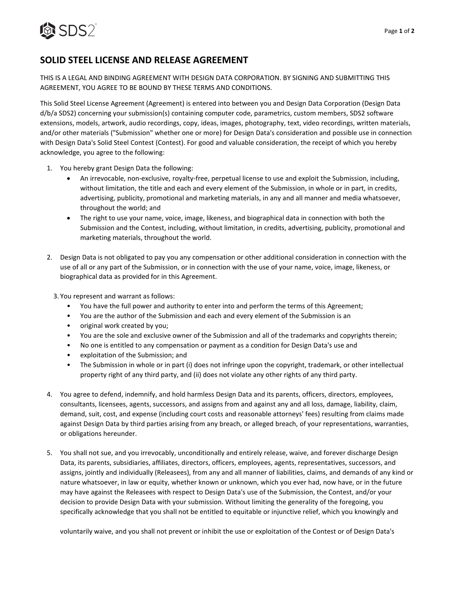

## **SOLID STEEL LICENSE AND RELEASE AGREEMENT**

THIS IS A LEGAL AND BINDING AGREEMENT WITH DESIGN DATA CORPORATION. BY SIGNING AND SUBMITTING THIS AGREEMENT, YOU AGREE TO BE BOUND BY THESE TERMS AND CONDITIONS.

This Solid Steel License Agreement (Agreement) is entered into between you and Design Data Corporation (Design Data d/b/a SDS2) concerning your submission(s) containing computer code, parametrics, custom members, SDS2 software extensions, models, artwork, audio recordings, copy, ideas, images, photography, text, video recordings, written materials, and/or other materials ("Submission" whether one or more) for Design Data's consideration and possible use in connection with Design Data's Solid Steel Contest (Contest). For good and valuable consideration, the receipt of which you hereby acknowledge, you agree to the following:

- 1. You hereby grant Design Data the following:
	- An irrevocable, non-exclusive, royalty-free, perpetual license to use and exploit the Submission, including, without limitation, the title and each and every element of the Submission, in whole or in part, in credits, advertising, publicity, promotional and marketing materials, in any and all manner and media whatsoever, throughout the world; and
	- The right to use your name, voice, image, likeness, and biographical data in connection with both the Submission and the Contest, including, without limitation, in credits, advertising, publicity, promotional and marketing materials, throughout the world.
- 2. Design Data is not obligated to pay you any compensation or other additional consideration in connection with the use of all or any part of the Submission, or in connection with the use of your name, voice, image, likeness, or biographical data as provided for in this Agreement.

3. You represent and warrant as follows:

- You have the full power and authority to enter into and perform the terms of this Agreement;
- You are the author of the Submission and each and every element of the Submission is an
- original work created by you;
- You are the sole and exclusive owner of the Submission and all of the trademarks and copyrights therein;
- No one is entitled to any compensation or payment as a condition for Design Data's use and
- exploitation of the Submission; and
- The Submission in whole or in part (i) does not infringe upon the copyright, trademark, or other intellectual property right of any third party, and (ii) does not violate any other rights of any third party.
- 4. You agree to defend, indemnify, and hold harmless Design Data and its parents, officers, directors, employees, consultants, licensees, agents, successors, and assigns from and against any and all loss, damage, liability, claim, demand, suit, cost, and expense (including court costs and reasonable attorneys' fees) resulting from claims made against Design Data by third parties arising from any breach, or alleged breach, of your representations, warranties, or obligations hereunder.
- 5. You shall not sue, and you irrevocably, unconditionally and entirely release, waive, and forever discharge Design Data, its parents, subsidiaries, affiliates, directors, officers, employees, agents, representatives, successors, and assigns, jointly and individually (Releasees), from any and all manner of liabilities, claims, and demands of any kind or nature whatsoever, in law or equity, whether known or unknown, which you ever had, now have, or in the future may have against the Releasees with respect to Design Data's use of the Submission, the Contest, and/or your decision to provide Design Data with your submission. Without limiting the generality of the foregoing, you specifically acknowledge that you shall not be entitled to equitable or injunctive relief, which you knowingly and

voluntarily waive, and you shall not prevent or inhibit the use or exploitation of the Contest or of Design Data's